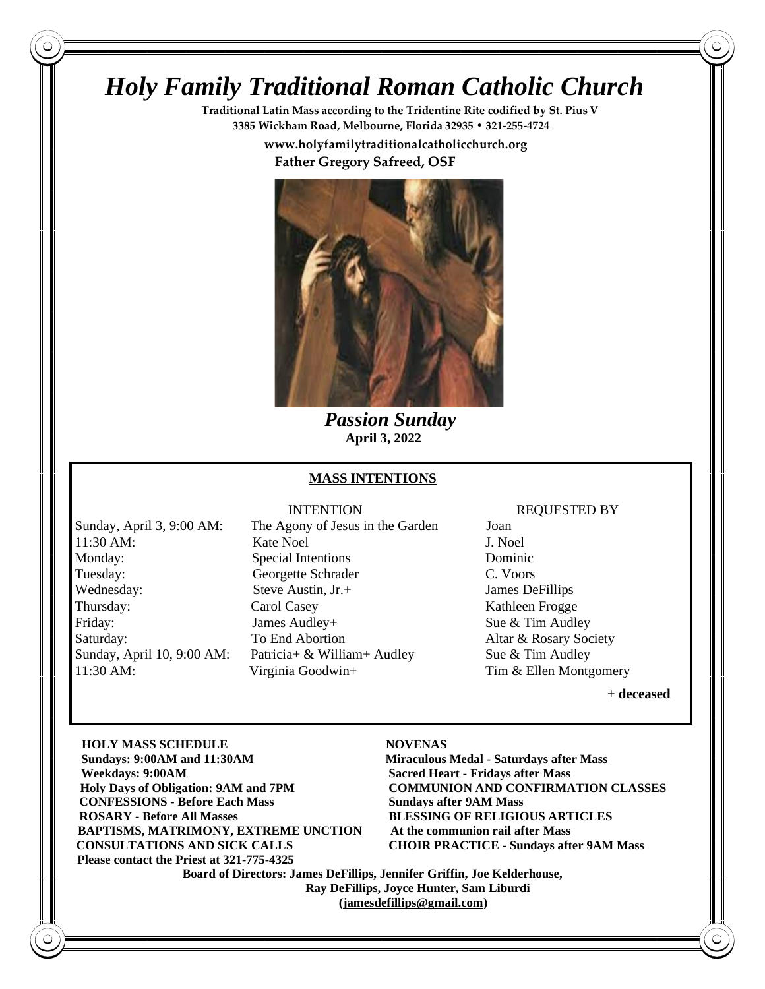# *Holy Family Traditional Roman Catholic Church*

**Traditional Latin Mass according to the Tridentine Rite codified by St. PiusV 3385 Wickham Road, Melbourne, Florida 32935 • 321-255-4724**

 **www.holyfamilytraditionalcatholicchurch.org**

 **Father Gregory Safreed, OSF**



 *Passion Sunday*  **April 3, 2022**

## **MASS INTENTIONS**

11:30 AM: Virginia Goodwin+ Tim & Ellen Montgomery

Sunday, April 3, 9:00 AM: The Agony of Jesus in the Garden Joan 11:30 AM: Kate Noel J. Noel Monday: Special Intentions Dominic Tuesday: Georgette Schrader C. Voors Wednesday: Steve Austin, Jr.+ James DeFillips Thursday: Carol Casey Carol Casey Kathleen Frogge Friday: James Audley+ Sue & Tim Audley Saturday: To End Abortion Altar & Rosary Society Sunday, April 10, 9:00 AM: Patricia+ & William+ Audley Sue & Tim Audley

### INTENTION REQUESTED BY

**+ deceased** 

**HOLY MASS SCHEDULE NOVENAS Sun Sundays: 9:00AM and 11:30AM Miraculous Medal - Saturdays after Mass Wee Weekdays: 9:00AM Sacred Heart - Fridays after Mass Holy Days of Obligation: 9AM and 7PM COMMUNION AND CONFIRMATION CLASSES CONFESSIONS - Before Each Mass Sundays after 9AM Mass RO ROSARY - Before All Masses BLESSING OF RELIGIOUS ARTICLES BAPTISMS, MATRIMONY, EXTREME UNCTION** At the communion rail after Mass **CO CONSULTATIONS AND SICK CALLS CHOIR PRACTICE - Sundays after 9AM Mass** Please contact the Priest at 321-775-4325

 **Board of Directors: James DeFillips, Jennifer Griffin, Joe Kelderhouse, Ray DeFillips, Joyce Hunter, Sam Liburdi [\(jamesdefillips@gmail.com\)](mailto:jamesdefillips@gmail.com)**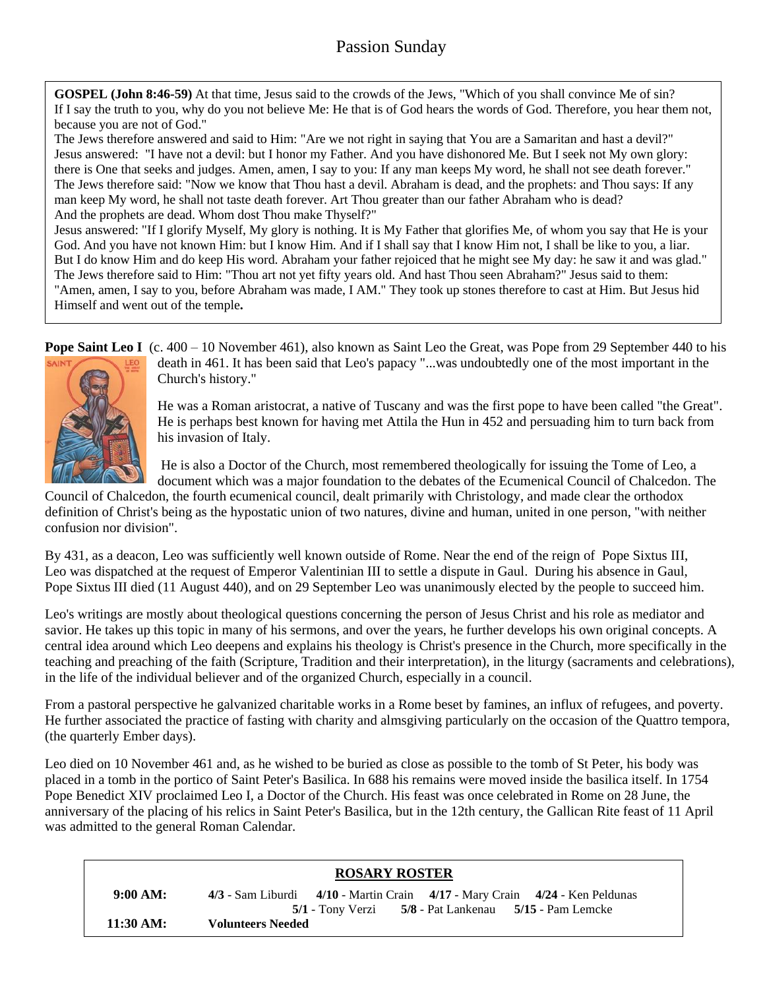## Passion Sunday

**GOSPEL (John 8:46-59)** At that time, Jesus said to the crowds of the Jews, "Which of you shall convince Me of sin? If I say the truth to you, why do you not believe Me: He that is of God hears the words of God. Therefore, you hear them not, because you are not of God."

The Jews therefore answered and said to Him: "Are we not right in saying that You are a Samaritan and hast a devil?" Jesus answered: "I have not a devil: but I honor my Father. And you have dishonored Me. But I seek not My own glory: there is One that seeks and judges. Amen, amen, I say to you: If any man keeps My word, he shall not see death forever." The Jews therefore said: "Now we know that Thou hast a devil. Abraham is dead, and the prophets: and Thou says: If any man keep My word, he shall not taste death forever. Art Thou greater than our father Abraham who is dead? And the prophets are dead. Whom dost Thou make Thyself?"

Jesus answered: "If I glorify Myself, My glory is nothing. It is My Father that glorifies Me, of whom you say that He is your God. And you have not known Him: but I know Him. And if I shall say that I know Him not, I shall be like to you, a liar. But I do know Him and do keep His word. Abraham your father rejoiced that he might see My day: he saw it and was glad." The Jews therefore said to Him: "Thou art not yet fifty years old. And hast Thou seen Abraham?" Jesus said to them: "Amen, amen, I say to you, before Abraham was made, I AM." They took up stones therefore to cast at Him. But Jesus hid Himself and went out of the temple**.**

**Pope Saint Leo I** (c. 400 – 10 November 461), also known as Saint Leo the Great, was Pope from 29 September 440 to his



death in 461. It has been said that Leo's papacy "...was undoubtedly one of the most important in the Church's history."

He was a Roman aristocrat, a native of Tuscany and was the first pope to have been called "the Great". He is perhaps best known for having met Attila the Hun in 452 and persuading him to turn back from his invasion of Italy.

He is also a Doctor of the Church, most remembered theologically for issuing the Tome of Leo, a document which was a major foundation to the debates of the Ecumenical Council of Chalcedon. The

Council of Chalcedon, the fourth ecumenical council, dealt primarily with Christology, and made clear the orthodox definition of Christ's being as the hypostatic union of two natures, divine and human, united in one person, "with neither confusion nor division".

By 431, as a deacon, Leo was sufficiently well known outside of Rome. Near the end of the reign of Pope Sixtus III, Leo was dispatched at the request of Emperor Valentinian III to settle a dispute in Gaul. During his absence in Gaul, Pope Sixtus III died (11 August 440), and on 29 September Leo was unanimously elected by the people to succeed him.

Leo's writings are mostly about theological questions concerning the person of Jesus Christ and his role as mediator and savior. He takes up this topic in many of his sermons, and over the years, he further develops his own original concepts. A central idea around which Leo deepens and explains his theology is Christ's presence in the Church, more specifically in the teaching and preaching of the faith (Scripture, Tradition and their interpretation), in the liturgy (sacraments and celebrations), in the life of the individual believer and of the organized Church, especially in a council.

From a pastoral perspective he galvanized charitable works in a Rome beset by famines, an influx of refugees, and poverty. He further associated the practice of fasting with charity and almsgiving particularly on the occasion of the Quattro tempora, (the quarterly Ember days).

Leo died on 10 November 461 and, as he wished to be buried as close as possible to the tomb of St Peter, his body was placed in a tomb in the portico of Saint Peter's Basilica. In 688 his remains were moved inside the basilica itself. In 1754 Pope Benedict XIV proclaimed Leo I, a Doctor of the Church. His feast was once celebrated in Rome on 28 June, the anniversary of the placing of his relics in Saint Peter's Basilica, but in the 12th century, the Gallican Rite feast of 11 April was admitted to the general Roman Calendar.

|                     | <b>ROSARY ROSTER</b>                                                                |
|---------------------|-------------------------------------------------------------------------------------|
| 9:00 AM:            | $4/3$ - Sam Liburdi $4/10$ - Martin Crain $4/17$ - Mary Crain $4/24$ - Ken Peldunas |
|                     | 5/1 - Tony Verzi 5/8 - Pat Lankenau 5/15 - Pam Lemcke                               |
| $11:30 \text{ AM}:$ | <b>Volunteers Needed</b>                                                            |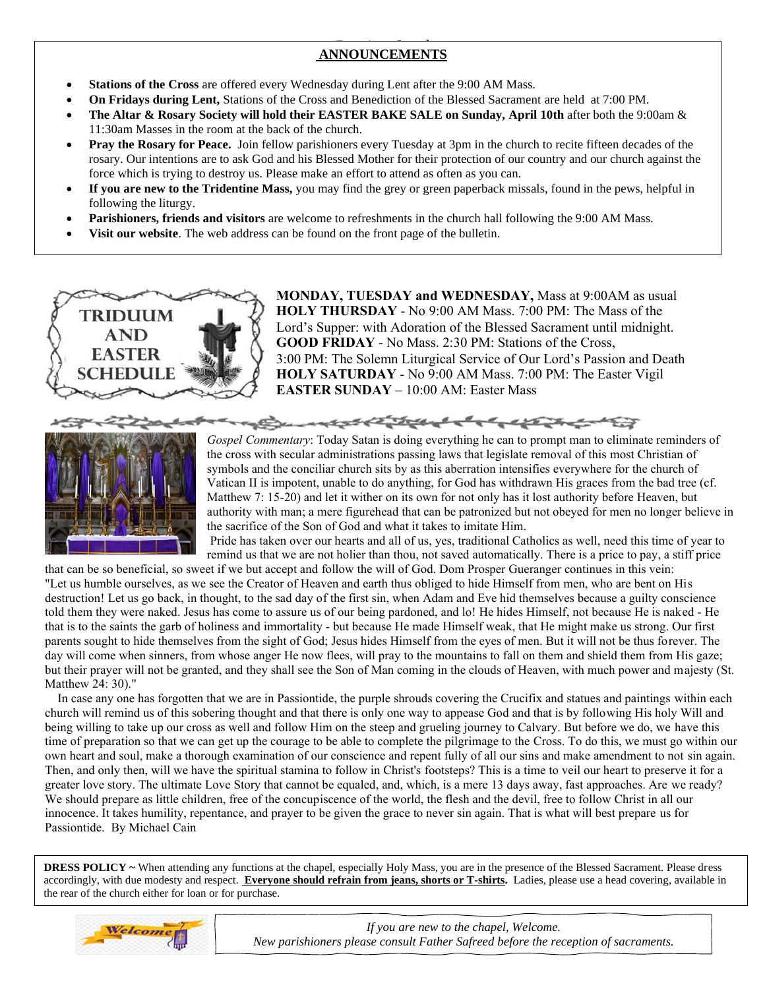# **ANNOUNCEMENTS**

- **Stations of the Cross** are offered every Wednesday during Lent after the 9:00 AM Mass.
- **On Fridays during Lent,** Stations of the Cross and Benediction of the Blessed Sacrament are held at 7:00 PM.
- **The Altar & Rosary Society will hold their EASTER BAKE SALE on Sunday, April 10th** after both the 9:00am & 11:30am Masses in the room at the back of the church.
- **Pray the Rosary for Peace.** Join fellow parishioners every Tuesday at 3pm in the church to recite fifteen decades of the rosary. Our intentions are to ask God and his Blessed Mother for their protection of our country and our church against the force which is trying to destroy us. Please make an effort to attend as often as you can.
- **If you are new to the Tridentine Mass,** you may find the grey or green paperback missals, found in the pews, helpful in following the liturgy.
- **Parishioners, friends and visitors** are welcome to refreshments in the church hall following the 9:00 AM Mass.
- **Visit our website**. The web address can be found on the front page of the bulletin.



**MONDAY, TUESDAY and WEDNESDAY,** Mass at 9:00AM as usual **HOLY THURSDAY** - No 9:00 AM Mass. 7:00 PM: The Mass of the Lord's Supper: with Adoration of the Blessed Sacrament until midnight. **GOOD FRIDAY** - No Mass. 2:30 PM: Stations of the Cross, 3:00 PM: The Solemn Liturgical Service of Our Lord's Passion and Death **HOLY SATURDAY** - No 9:00 AM Mass. 7:00 PM: The Easter Vigil **EASTER SUNDAY** – 10:00 AM: Easter Mass



*Gospel Commentary*: Today Satan is doing everything he can to prompt man to eliminate reminders of the cross with secular administrations passing laws that legislate removal of this most Christian of symbols and the conciliar church sits by as this aberration intensifies everywhere for the church of Vatican II is impotent, unable to do anything, for God has withdrawn His graces from the bad tree (cf. Matthew 7: 15-20) and let it wither on its own for not only has it lost authority before Heaven, but authority with man; a mere figurehead that can be patronized but not obeyed for men no longer believe in the sacrifice of the Son of God and what it takes to imitate Him.

San part of the angle of the control of the state of the control of the control of the control of the control of the control of the control of the control of the control of the control of the control of the control of the

Pride has taken over our hearts and all of us, yes, traditional Catholics as well, need this time of year to remind us that we are not holier than thou, not saved automatically. There is a price to pay, a stiff price

that can be so beneficial, so sweet if we but accept and follow the will of God. Dom Prosper Gueranger continues in this vein: "Let us humble ourselves, as we see the Creator of Heaven and earth thus obliged to hide Himself from men, who are bent on His destruction! Let us go back, in thought, to the sad day of the first sin, when Adam and Eve hid themselves because a guilty conscience told them they were naked. Jesus has come to assure us of our being pardoned, and lo! He hides Himself, not because He is naked - He that is to the saints the garb of holiness and immortality - but because He made Himself weak, that He might make us strong. Our first parents sought to hide themselves from the sight of God; Jesus hides Himself from the eyes of men. But it will not be thus forever. The day will come when sinners, from whose anger He now flees, will pray to the mountains to fall on them and shield them from His gaze; day win come when sinners, from whose anger fre how frees, win pray to the mountains to farm on them and sinclu their prayer will not be granted, and they shall see the Son of Man coming in the clouds of Heaven, with much Matthew 24: 30)." 

 In case any one has forgotten that we are in Passiontide, the purple shrouds covering the Crucifix and statues and paintings within each church will remind us of this sobering thought and that there is only one way to appease God and that is by following His holy Will and being willing to take up our cross as well and follow Him on the steep and grueling journey to Calvary. But before we do, we have this time of preparation so that we can get up the courage to be able to complete the pilgrimage to the Cross. To do this, we must go within our own heart and soul, make a thorough examination of our conscience and repent fully of all our sins and make amendment to not sin again. Then, and only then, will we have the spiritual stamina to follow in Christ's footsteps? This is a time to veil our heart to preserve it for a greater love story. The ultimate Love Story that cannot be equaled, and, which, is a mere 13 days away, fast approaches. Are we ready? We should prepare as little children, free of the concupiscence of the world, the flesh and the devil, free to follow Christ in all our innocence. It takes humility, repentance, and prayer to be given the grace to never sin again. That is what will best prepare us for Passiontide. By Michael Cain

 **DRESS POLICY** ~ When attending any functions at the chapel, especially Holy Mass, you are in the presence of the Blessed Sacrament. Please dress accordingly, with due modesty and respect. **Everyone should refrain from jeans, shorts or T-shirts.** Ladies, please use a head covering, available in the rear of the church either for loan or for purchase.



*If you are new to the chapel, Welcome. New parishioners please consult Father Safreed before the reception of sacraments.*